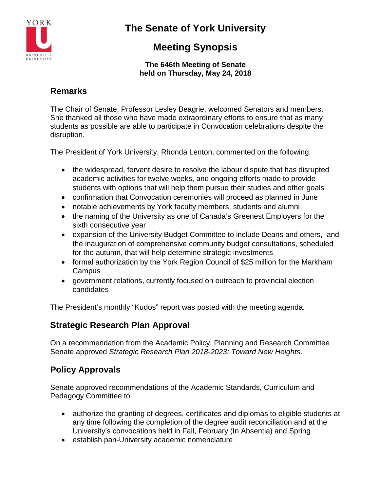

# **The Senate of York University**

## **Meeting Synopsis**

#### **The 646th Meeting of Senate held on Thursday, May 24, 2018**

## **Remarks**

The Chair of Senate, Professor Lesley Beagrie, welcomed Senators and members. She thanked all those who have made extraordinary efforts to ensure that as many students as possible are able to participate in Convocation celebrations despite the disruption.

The President of York University, Rhonda Lenton, commented on the following:

- the widespread, fervent desire to resolve the labour dispute that has disrupted academic activities for twelve weeks, and ongoing efforts made to provide students with options that will help them pursue their studies and other goals
- confirmation that Convocation ceremonies will proceed as planned in June
- notable achievements by York faculty members, students and alumni
- the naming of the University as one of Canada's Greenest Employers for the sixth consecutive year
- expansion of the University Budget Committee to include Deans and others, and the inauguration of comprehensive community budget consultations, scheduled for the autumn, that will help determine strategic investments
- formal authorization by the York Region Council of \$25 million for the Markham **Campus**
- government relations, currently focused on outreach to provincial election candidates

The President's monthly "Kudos" report was posted with the meeting agenda.

## **Strategic Research Plan Approval**

On a recommendation from the Academic Policy, Planning and Research Committee Senate approved *Strategic Research Plan 2018-2023: Toward New Heights*.

## **Policy Approvals**

Senate approved recommendations of the Academic Standards, Curriculum and Pedagogy Committee to

- authorize the granting of degrees, certificates and diplomas to eligible students at any time following the completion of the degree audit reconciliation and at the University's convocations held in Fall, February (In Absentia) and Spring
- establish pan-University academic nomenclature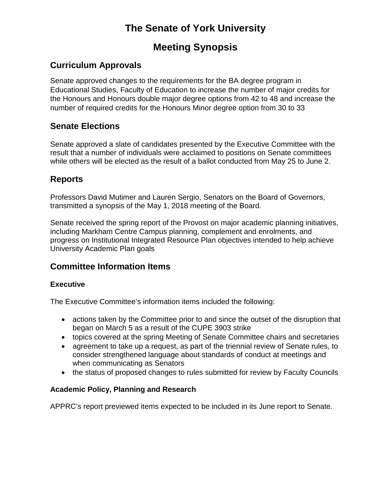# **The Senate of York University**

## **Meeting Synopsis**

## **Curriculum Approvals**

Senate approved changes to the requirements for the BA degree program in Educational Studies, Faculty of Education to increase the number of major credits for the Honours and Honours double major degree options from 42 to 48 and increase the number of required credits for the Honours Minor degree option from 30 to 33

### **Senate Elections**

Senate approved a slate of candidates presented by the Executive Committee with the result that a number of individuals were acclaimed to positions on Senate committees while others will be elected as the result of a ballot conducted from May 25 to June 2.

### **Reports**

Professors David Mutimer and Lauren Sergio, Senators on the Board of Governors, transmitted a synopsis of the May 1, 2018 meeting of the Board.

Senate received the spring report of the Provost on major academic planning initiatives, including Markham Centre Campus planning, complement and enrolments, and progress on Institutional Integrated Resource Plan objectives intended to help achieve University Academic Plan goals

### **Committee Information Items**

#### **Executive**

The Executive Committee's information items included the following:

- actions taken by the Committee prior to and since the outset of the disruption that began on March 5 as a result of the CUPE 3903 strike
- topics covered at the spring Meeting of Senate Committee chairs and secretaries
- agreement to take up a request, as part of the triennial review of Senate rules, to consider strengthened language about standards of conduct at meetings and when communicating as Senators
- the status of proposed changes to rules submitted for review by Faculty Councils

#### **Academic Policy, Planning and Research**

APPRC's report previewed items expected to be included in its June report to Senate.